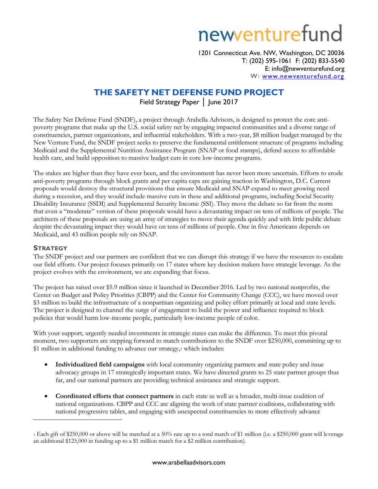# newenturefund

1201 Connecticut Ave. NW, Washington, DC 20036 T: (202) 595-1061 F: (202) 833-5540 E: info@newventurefund.org W: [www.newventurefund.org](http://www.newventurefund.org/)

## **THE SAFETY NET DEFENSE FUND PROJECT**

Field Strategy Paper │ June 2017

The Safety Net Defense Fund (SNDF), a project through Arabella Advisors, is designed to protect the core antipoverty programs that make up the U.S. social safety net by engaging impacted communities and a diverse range of constituencies, partner organizations, and influential stakeholders. With a two-year, \$8 million budget managed by the New Venture Fund, the SNDF project seeks to preserve the fundamental entitlement structure of programs including Medicaid and the Supplemental Nutrition Assistance Program (SNAP or food stamps), defend access to affordable health care, and build opposition to massive budget cuts in core low-income programs.

The stakes are higher than they have ever been, and the environment has never been more uncertain. Efforts to erode anti-poverty programs through block grants and per capita caps are gaining traction in Washington, D.C. Current proposals would destroy the structural provisions that ensure Medicaid and SNAP expand to meet growing need during a recession, and they would include massive cuts in these and additional programs, including Social Security Disability Insurance (SSDI) and Supplemental Security Income (SSI). They move the debate so far from the norm that even a "moderate" version of these proposals would have a devastating impact on tens of millions of people. The architects of these proposals are using an array of strategies to move their agenda quickly and with little public debate despite the devastating impact they would have on tens of millions of people. One in five Americans depends on Medicaid, and 43 million people rely on SNAP.

#### **STRATEGY**

 $\overline{a}$ 

The SNDF project and our partners are confident that we can disrupt this strategy if we have the resources to escalate our field efforts. Our project focuses primarily on 17 states where key decision makers have strategic leverage. As the project evolves with the environment, we are expanding that focus.

The project has raised over \$5.9 million since it launched in December 2016. Led by two national nonprofits, the Center on Budget and Policy Priorities (CBPP) and the Center for Community Change (CCC), we have moved over \$3 million to build the infrastructure of a nonpartisan organizing and policy effort primarily at local and state levels. The project is designed to channel the surge of engagement to build the power and influence required to block policies that would harm low-income people, particularly low-income people of color.

With your support, urgently needed investments in strategic states can make the difference. To meet this pivotal moment, two supporters are stepping forward to match contributions to the SNDF over \$250,000, committing up to \$1 million in additional funding to advance our strategy,1 which includes:

- **Individualized field campaigns** with local community organizing partners and state policy and issue advocacy groups in 17 strategically important states. We have directed grants to 25 state partner groups thus far, and our national partners are providing technical assistance and strategic support.
- **Coordinated efforts that connect partners** in each state as well as a broader, multi-issue coalition of national organizations. CBPP and CCC are aligning the work of state partner coalitions, collaborating with national progressive tables, and engaging with unexpected constituencies to more effectively advance

<sup>1</sup> Each gift of \$250,000 or above will be matched at a 50% rate up to a total match of \$1 million (i.e. a \$250,000 grant will leverage an additional \$125,000 in funding up to a \$1 million match for a \$2 million contribution).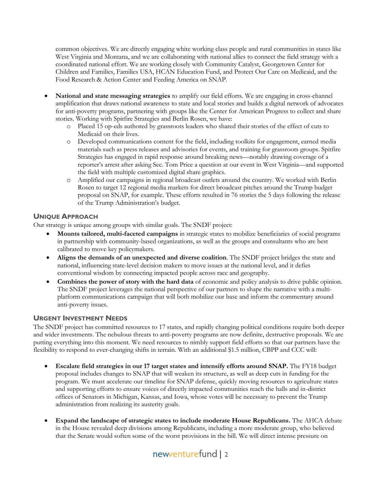common objectives. We are directly engaging white working class people and rural communities in states like West Virginia and Montana, and we are collaborating with national allies to connect the field strategy with a coordinated national effort. We are working closely with Community Catalyst, Georgetown Center for Children and Families, Families USA, HCAN Education Fund, and Protect Our Care on Medicaid, and the Food Research & Action Center and Feeding America on SNAP.

- **National and state messaging strategies** to amplify our field efforts. We are engaging in cross-channel amplification that draws national awareness to state and local stories and builds a digital network of advocates for anti-poverty programs, partnering with groups like the Center for American Progress to collect and share stories. Working with Spitfire Strategies and Berlin Rosen, we have:
	- o Placed 15 op-eds authored by grassroots leaders who shared their stories of the effect of cuts to Medicaid on their lives.
	- o Developed communications content for the field, including toolkits for engagement, earned media materials such as press releases and advisories for events, and training for grassroots groups. Spitfire Strategies has engaged in rapid response around breaking news—notably drawing coverage of a reporter's arrest after asking Sec. Tom Price a question at our event in West Virginia—and supported the field with multiple customized digital share graphics.
	- o Amplified our campaigns in regional broadcast outlets around the country. We worked with Berlin Rosen to target 12 regional media markets for direct broadcast pitches around the Trump budget proposal on SNAP, for example. These efforts resulted in 76 stories the 5 days following the release of the Trump Administration's budget.

#### **UNIQUE APPROACH**

Our strategy is unique among groups with similar goals. The SNDF project:

- **Mounts tailored, multi-faceted campaigns** in strategic states to mobilize beneficiaries of social programs in partnership with community-based organizations, as well as the groups and consultants who are best calibrated to move key policymakers.
- **Aligns the demands of an unexpected and diverse coalition**. The SNDF project bridges the state and national, influencing state-level decision makers to move issues at the national level, and it defies conventional wisdom by connecting impacted people across race and geography.
- **Combines the power of story with the hard data** of economic and policy analysis to drive public opinion. The SNDF project leverages the national perspective of our partners to shape the narrative with a multiplatform communications campaign that will both mobilize our base and inform the commentary around anti-poverty issues.

#### **URGENT INVESTMENT NEEDS**

The SNDF project has committed resources to 17 states, and rapidly changing political conditions require both deeper and wider investments. The nebulous threats to anti-poverty programs are now definite, destructive proposals. We are putting everything into this moment. We need resources to nimbly support field efforts so that our partners have the flexibility to respond to ever-changing shifts in terrain. With an additional \$1.5 million, CBPP and CCC will:

- **Escalate field strategies in our 17 target states and intensify efforts around SNAP.** The FY18 budget proposal includes changes to SNAP that will weaken its structure, as well as deep cuts in funding for the program. We must accelerate our timeline for SNAP defense, quickly moving resources to agriculture states and supporting efforts to ensure voices of directly impacted communities reach the halls and in-district offices of Senators in Michigan, Kansas, and Iowa, whose votes will be necessary to prevent the Trump administration from realizing its austerity goals.
- **Expand the landscape of strategic states to include moderate House Republicans.** The AHCA debate in the House revealed deep divisions among Republicans, including a more moderate group, who believed that the Senate would soften some of the worst provisions in the bill. We will direct intense pressure on

# newenturefund | 2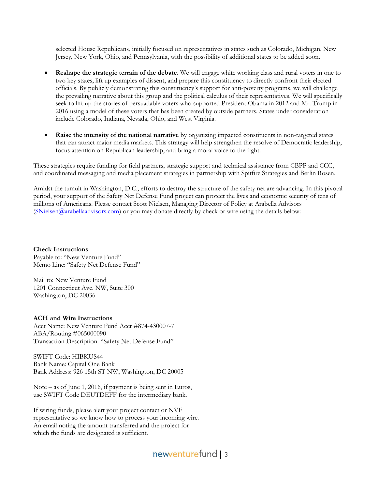selected House Republicans, initially focused on representatives in states such as Colorado, Michigan, New Jersey, New York, Ohio, and Pennsylvania, with the possibility of additional states to be added soon.

- **Reshape the strategic terrain of the debate**. We will engage white working class and rural voters in one to two key states, lift up examples of dissent, and prepare this constituency to directly confront their elected officials. By publicly demonstrating this constituency's support for anti-poverty programs, we will challenge the prevailing narrative about this group and the political calculus of their representatives. We will specifically seek to lift up the stories of persuadable voters who supported President Obama in 2012 and Mr. Trump in 2016 using a model of these voters that has been created by outside partners. States under consideration include Colorado, Indiana, Nevada, Ohio, and West Virginia.
- **Raise the intensity of the national narrative** by organizing impacted constituents in non-targeted states that can attract major media markets. This strategy will help strengthen the resolve of Democratic leadership, focus attention on Republican leadership, and bring a moral voice to the fight.

These strategies require funding for field partners, strategic support and technical assistance from CBPP and CCC, and coordinated messaging and media placement strategies in partnership with Spitfire Strategies and Berlin Rosen.

Amidst the tumult in Washington, D.C., efforts to destroy the structure of the safety net are advancing. In this pivotal period, your support of the Safety Net Defense Fund project can protect the lives and economic security of tens of millions of Americans. Please contact Scott Nielsen, Managing Director of Policy at Arabella Advisors  $(SNielsen@arabellaadvisors.com)$  or you may donate directly by check or wire using the details below:

**Check Instructions** Payable to: "New Venture Fund" Memo Line: "Safety Net Defense Fund"

Mail to: New Venture Fund 1201 Connecticut Ave. NW, Suite 300 Washington, DC 20036

#### **ACH and Wire Instructions**

Acct Name: New Venture Fund Acct #874-430007-7 ABA/Routing #065000090 Transaction Description: "Safety Net Defense Fund"

SWIFT Code: HIBKUS44 Bank Name: Capital One Bank Bank Address: 926 15th ST NW, Washington, DC 20005

Note – as of June 1, 2016, if payment is being sent in Euros, use SWIFT Code DEUTDEFF for the intermediary bank.

If wiring funds, please alert your project contact or NVF representative so we know how to process your incoming wire. An email noting the amount transferred and the project for which the funds are designated is sufficient.

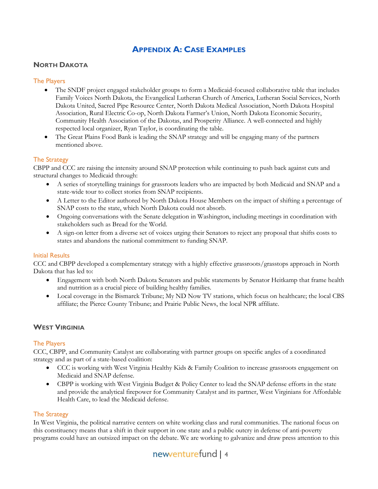## **APPENDIX A: CASE EXAMPLES**

#### **NORTH DAKOTA**

#### The Players

- The SNDF project engaged stakeholder groups to form a Medicaid-focused collaborative table that includes Family Voices North Dakota, the Evangelical Lutheran Church of America, Lutheran Social Services, North Dakota United, Sacred Pipe Resource Center, North Dakota Medical Association, North Dakota Hospital Association, Rural Electric Co-op, North Dakota Farmer's Union, North Dakota Economic Security, Community Health Association of the Dakotas, and Prosperity Alliance. A well-connected and highly respected local organizer, Ryan Taylor, is coordinating the table.
- The Great Plains Food Bank is leading the SNAP strategy and will be engaging many of the partners mentioned above.

#### The Strategy

CBPP and CCC are raising the intensity around SNAP protection while continuing to push back against cuts and structural changes to Medicaid through:

- A series of storytelling trainings for grassroots leaders who are impacted by both Medicaid and SNAP and a state-wide tour to collect stories from SNAP recipients.
- A Letter to the Editor authored by North Dakota House Members on the impact of shifting a percentage of SNAP costs to the state, which North Dakota could not absorb.
- Ongoing conversations with the Senate delegation in Washington, including meetings in coordination with stakeholders such as Bread for the World.
- A sign-on letter from a diverse set of voices urging their Senators to reject any proposal that shifts costs to states and abandons the national commitment to funding SNAP.

#### Initial Results

CCC and CBPP developed a complementary strategy with a highly effective grassroots/grasstops approach in North Dakota that has led to:

- Engagement with both North Dakota Senators and public statements by Senator Heitkamp that frame health and nutrition as a crucial piece of building healthy families.
- Local coverage in the Bismarck Tribune; My ND Now TV stations, which focus on healthcare; the local CBS affiliate; the Pierce County Tribune; and Prairie Public News, the local NPR affiliate.

#### **WEST VIRGINIA**

#### The Players

CCC, CBPP, and Community Catalyst are collaborating with partner groups on specific angles of a coordinated strategy and as part of a state-based coalition:

- CCC is working with West Virginia Healthy Kids & Family Coalition to increase grassroots engagement on Medicaid and SNAP defense.
- CBPP is working with West Virginia Budget & Policy Center to lead the SNAP defense efforts in the state and provide the analytical firepower for Community Catalyst and its partner, West Virginians for Affordable Health Care, to lead the Medicaid defense.

#### The Strategy

In West Virginia, the political narrative centers on white working class and rural communities. The national focus on this constituency means that a shift in their support in one state and a public outcry in defense of anti-poverty programs could have an outsized impact on the debate. We are working to galvanize and draw press attention to this

# newenturefund | 4